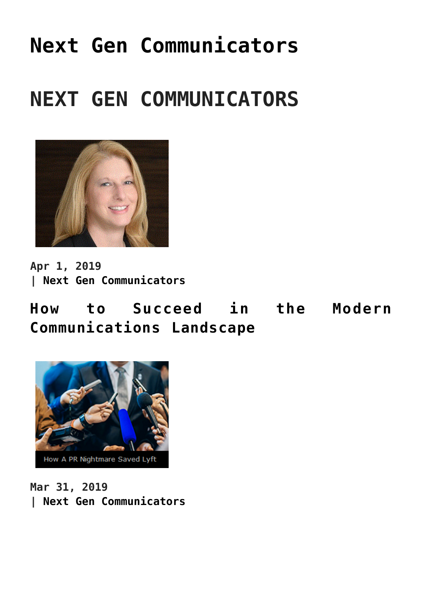# **[Next Gen Communicators](https://www.commpro.biz/next-gen-communicators/)**

# **NEXT GEN COMMUNICATORS**



**Apr 1, 2019 | [Next Gen Communicators](https://www.commpro.biz/./next-gen-communicators/)**

**[How to Succeed in the Modern](https://www.commpro.biz/how-to-succeed-in-the-modern-communications-landscape/) [Communications Landscape](https://www.commpro.biz/how-to-succeed-in-the-modern-communications-landscape/)**



**Mar 31, 2019 | [Next Gen Communicators](https://www.commpro.biz/./next-gen-communicators/)**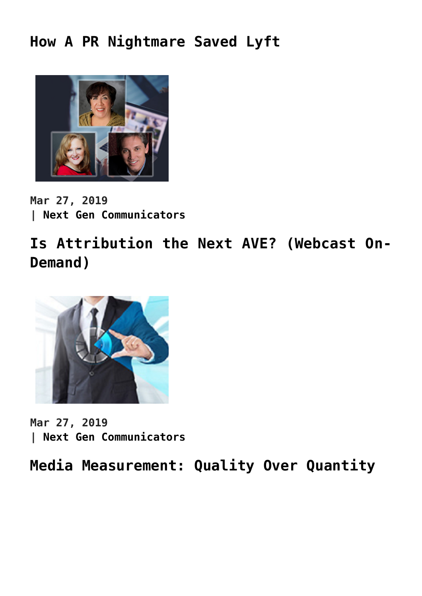### **[How A PR Nightmare Saved Lyft](https://www.commpro.biz/how-a-pr-nightmare-saved-lyft/)**



**Mar 27, 2019 | [Next Gen Communicators](https://www.commpro.biz/./next-gen-communicators/)**

**[Is Attribution the Next AVE? \(Webcast On-](https://www.commpro.biz/is-attribution-the-next-ave/)[Demand\)](https://www.commpro.biz/is-attribution-the-next-ave/)**



**Mar 27, 2019 | [Next Gen Communicators](https://www.commpro.biz/./next-gen-communicators/)**

**[Media Measurement: Quality Over Quantity](https://www.commpro.biz/media-measurement-quality-over-quantity/)**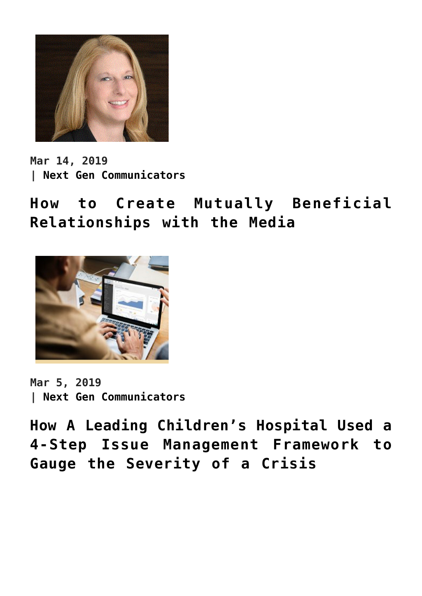

**Mar 14, 2019 | [Next Gen Communicators](https://www.commpro.biz/./next-gen-communicators/)**

**[How to Create Mutually Beneficial](https://www.commpro.biz/how-to-create-mutually-beneficial-relationships-with-the-media/) [Relationships with the Media](https://www.commpro.biz/how-to-create-mutually-beneficial-relationships-with-the-media/)**



**Mar 5, 2019 | [Next Gen Communicators](https://www.commpro.biz/./next-gen-communicators/)**

**[How A Leading Children's Hospital Used a](https://www.commpro.biz/how-a-leading-childrens-hospital-used-a-4-step-issue-management-framework-to-gauge-the-severity-of-a-crisis/) [4-Step Issue Management Framework to](https://www.commpro.biz/how-a-leading-childrens-hospital-used-a-4-step-issue-management-framework-to-gauge-the-severity-of-a-crisis/) [Gauge the Severity of a Crisis](https://www.commpro.biz/how-a-leading-childrens-hospital-used-a-4-step-issue-management-framework-to-gauge-the-severity-of-a-crisis/)**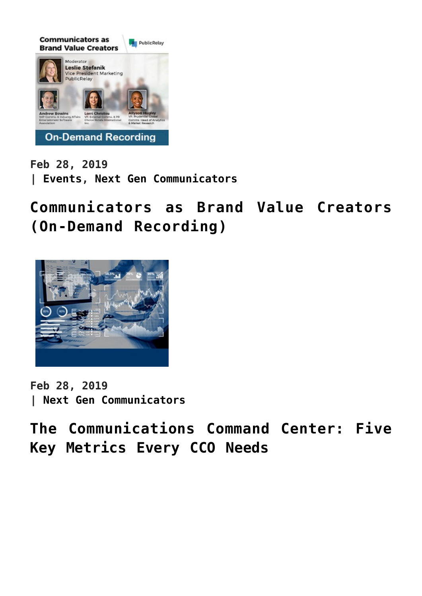

**Feb 28, 2019 | [Events,](https://www.commpro.biz/./events/) [Next Gen Communicators](https://www.commpro.biz/./next-gen-communicators/)**

**[Communicators as Brand Value Creators](https://www.commpro.biz/communicators-as-brand-value-creators/) [\(On-Demand Recording\)](https://www.commpro.biz/communicators-as-brand-value-creators/)**



**Feb 28, 2019 | [Next Gen Communicators](https://www.commpro.biz/./next-gen-communicators/)**

**[The Communications Command Center: Five](https://www.commpro.biz/the-communications-command-center-five-key-metrics-every-cco-needs/) [Key Metrics Every CCO Needs](https://www.commpro.biz/the-communications-command-center-five-key-metrics-every-cco-needs/)**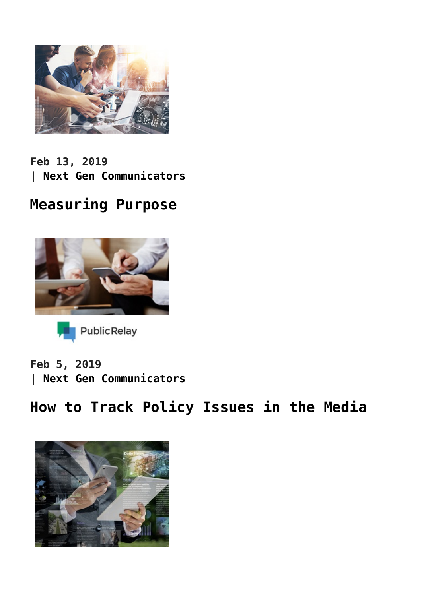

**Feb 13, 2019 | [Next Gen Communicators](https://www.commpro.biz/./next-gen-communicators/)**

### **[Measuring Purpose](https://www.commpro.biz/measuring-purpose/)**





**Feb 5, 2019 | [Next Gen Communicators](https://www.commpro.biz/./next-gen-communicators/)**

## **[How to Track Policy Issues in the Media](https://www.commpro.biz/how-to-track-policy-issues-in-the-media/)**

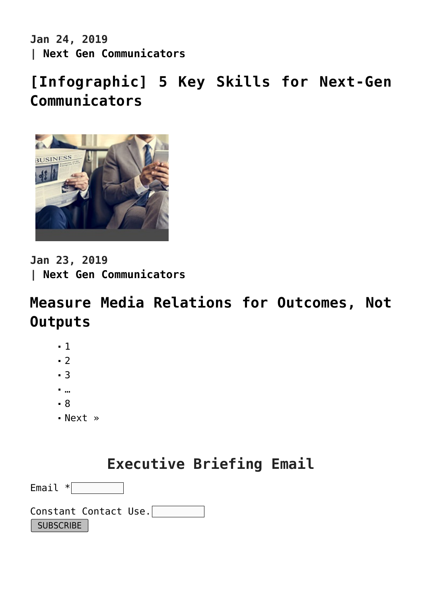**Jan 24, 2019 | [Next Gen Communicators](https://www.commpro.biz/./next-gen-communicators/)**

# **[\[Infographic\] 5 Key Skills for Next-Gen](https://www.commpro.biz/infographic-5-key-skills-for-next-gen-communicators/) [Communicators](https://www.commpro.biz/infographic-5-key-skills-for-next-gen-communicators/)**



**Jan 23, 2019 | [Next Gen Communicators](https://www.commpro.biz/./next-gen-communicators/)**

### **[Measure Media Relations for Outcomes, Not](https://www.commpro.biz/measure-media-relations-for-outcomes-not-outputs/) [Outputs](https://www.commpro.biz/measure-media-relations-for-outcomes-not-outputs/)**

- $-1$
- $-2$  $-2$
- $-3$  $-3$
- …
- [8](https://www.commpro.biz/next-gen-communicators/?fl_builderpage/8/&fl_builder)
- [Next »](https://www.commpro.biz/next-gen-communicators/?fl_builderpage/2/&fl_builder)

| <b>Executive Briefing Email</b> |  |  |
|---------------------------------|--|--|
|---------------------------------|--|--|

| Email $*$             |  |  |
|-----------------------|--|--|
| Constant Contact Use. |  |  |
| SUBSCRIBE             |  |  |